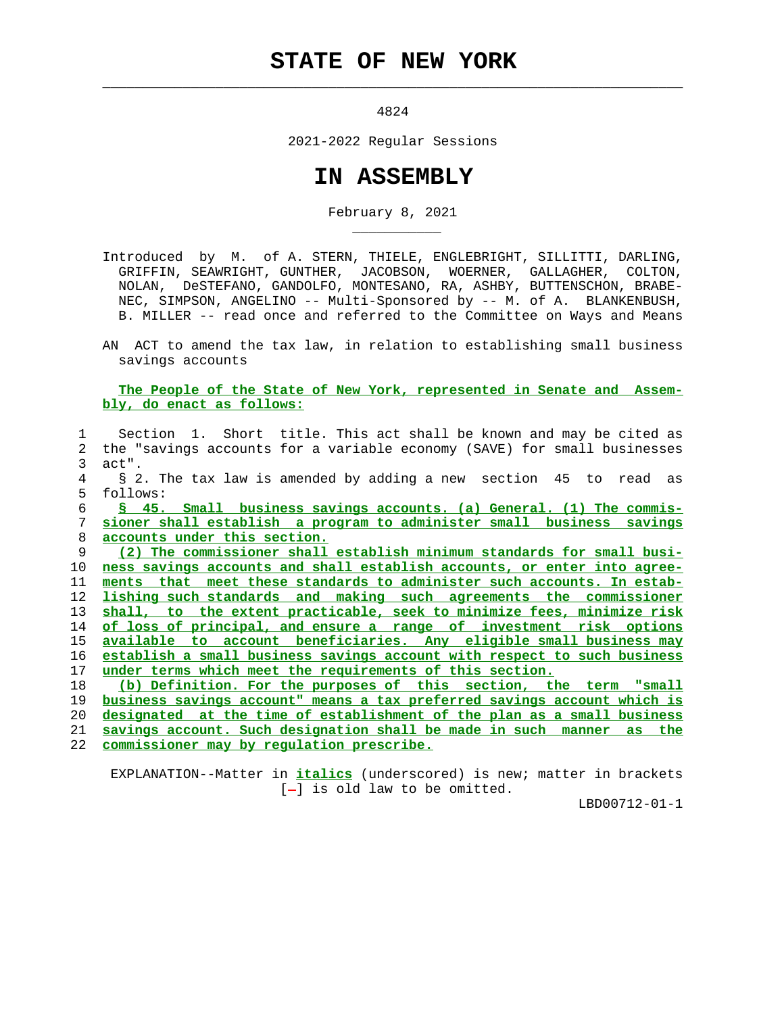## **STATE OF NEW YORK**

 $\mathcal{L}_\text{max} = \frac{1}{2} \sum_{i=1}^{n} \frac{1}{2} \sum_{i=1}^{n} \frac{1}{2} \sum_{i=1}^{n} \frac{1}{2} \sum_{i=1}^{n} \frac{1}{2} \sum_{i=1}^{n} \frac{1}{2} \sum_{i=1}^{n} \frac{1}{2} \sum_{i=1}^{n} \frac{1}{2} \sum_{i=1}^{n} \frac{1}{2} \sum_{i=1}^{n} \frac{1}{2} \sum_{i=1}^{n} \frac{1}{2} \sum_{i=1}^{n} \frac{1}{2} \sum_{i=1}^{n} \frac{1$ 

\_\_\_\_\_\_\_\_\_\_\_

4824

2021-2022 Regular Sessions

## **IN ASSEMBLY**

February 8, 2021

 Introduced by M. of A. STERN, THIELE, ENGLEBRIGHT, SILLITTI, DARLING, GRIFFIN, SEAWRIGHT, GUNTHER, JACOBSON, WOERNER, GALLAGHER, COLTON, NOLAN, DeSTEFANO, GANDOLFO, MONTESANO, RA, ASHBY, BUTTENSCHON, BRABE- NEC, SIMPSON, ANGELINO -- Multi-Sponsored by -- M. of A. BLANKENBUSH, B. MILLER -- read once and referred to the Committee on Ways and Means

 AN ACT to amend the tax law, in relation to establishing small business savings accounts

 **The People of the State of New York, represented in Senate and Assem bly, do enact as follows:**

 1 Section 1. Short title. This act shall be known and may be cited as 2 the "savings accounts for a variable economy (SAVE) for small businesses 3 act". 4 § 2. The tax law is amended by adding a new section 45 to read as 5 follows: **§ 45. Small business savings accounts. (a) General. (1) The commis- sioner shall establish a program to administer small business savings accounts under this section. (2) The commissioner shall establish minimum standards for small busi- ness savings accounts and shall establish accounts, or enter into agree- ments that meet these standards to administer such accounts. In estab- lishing such standards and making such agreements the commissioner shall, to the extent practicable, seek to minimize fees, minimize risk of loss of principal, and ensure a range of investment risk options available to account beneficiaries. Any eligible small business may establish a small business savings account with respect to such business under terms which meet the requirements of this section. (b) Definition. For the purposes of this section, the term "small business savings account" means a tax preferred savings account which is designated at the time of establishment of the plan as a small business savings account. Such designation shall be made in such manner as the commissioner may by regulation prescribe.**

 EXPLANATION--Matter in **italics** (underscored) is new; matter in brackets  $[-]$  is old law to be omitted.

LBD00712-01-1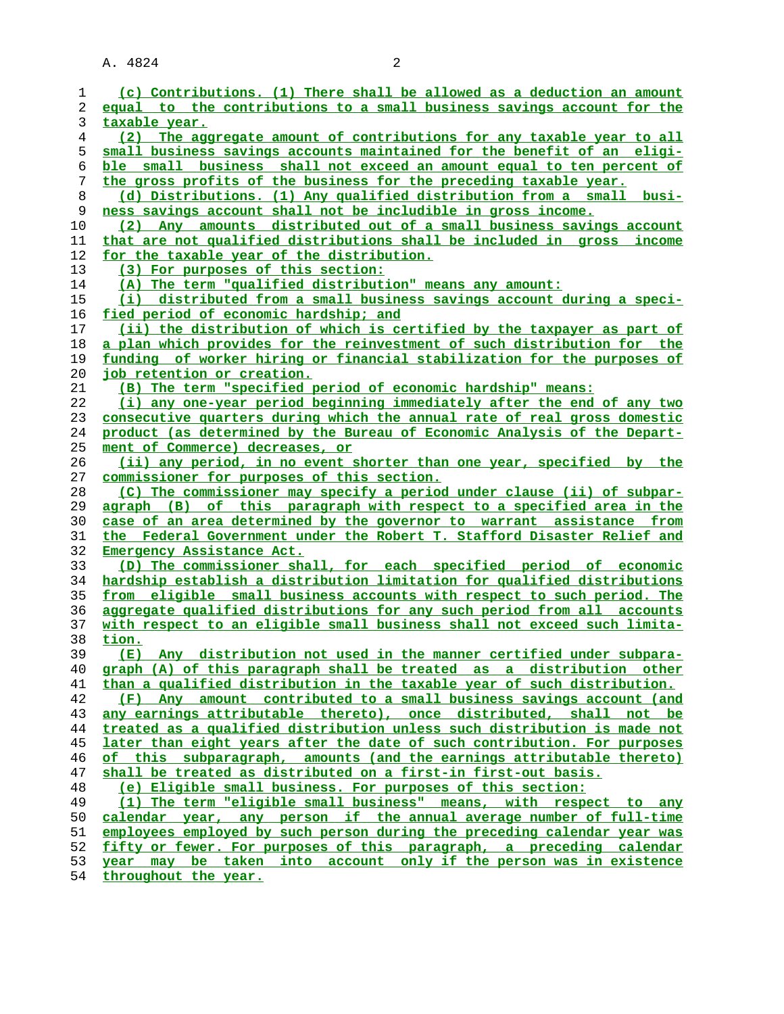A. 4824 2

**taxable year.**

**small business savings accounts maintained for the benefit of an eligi- ble small business shall not exceed an amount equal to ten percent of the gross profits of the business for the preceding taxable year. (d) Distributions. (1) Any qualified distribution from a small busi- ness savings account shall not be includible in gross income. (2) Any amounts distributed out of a small business savings account that are not qualified distributions shall be included in gross income for the taxable year of the distribution. (3) For purposes of this section: (A) The term "qualified distribution" means any amount: (i) distributed from a small business savings account during a speci- fied period of economic hardship; and (ii) the distribution of which is certified by the taxpayer as part of a plan which provides for the reinvestment of such distribution for the funding of worker hiring or financial stabilization for the purposes of job retention or creation. (B) The term "specified period of economic hardship" means: (i) any one-year period beginning immediately after the end of any two consecutive quarters during which the annual rate of real gross domestic product (as determined by the Bureau of Economic Analysis of the Depart- ment of Commerce) decreases, or (ii) any period, in no event shorter than one year, specified by the commissioner for purposes of this section. (C) The commissioner may specify a period under clause (ii) of subpar- agraph (B) of this paragraph with respect to a specified area in the case of an area determined by the governor to warrant assistance from the Federal Government under the Robert T. Stafford Disaster Relief and Emergency Assistance Act. (D) The commissioner shall, for each specified period of economic hardship establish a distribution limitation for qualified distributions from eligible small business accounts with respect to such period. The aggregate qualified distributions for any such period from all accounts with respect to an eligible small business shall not exceed such limita- tion.**

**(E) Any distribution not used in the manner certified under subpara- graph (A) of this paragraph shall be treated as a distribution other than a qualified distribution in the taxable year of such distribution. (F) Any amount contributed to a small business savings account (and any earnings attributable thereto), once distributed, shall not be treated as a qualified distribution unless such distribution is made not later than eight years after the date of such contribution. For purposes of this subparagraph, amounts (and the earnings attributable thereto) shall be treated as distributed on a first-in first-out basis. (e) Eligible small business. For purposes of this section: (1) The term "eligible small business" means, with respect to any**

**calendar year, any person if the annual average number of full-time employees employed by such person during the preceding calendar year was fifty or fewer. For purposes of this paragraph, a preceding calendar year may be taken into account only if the person was in existence throughout the year.**